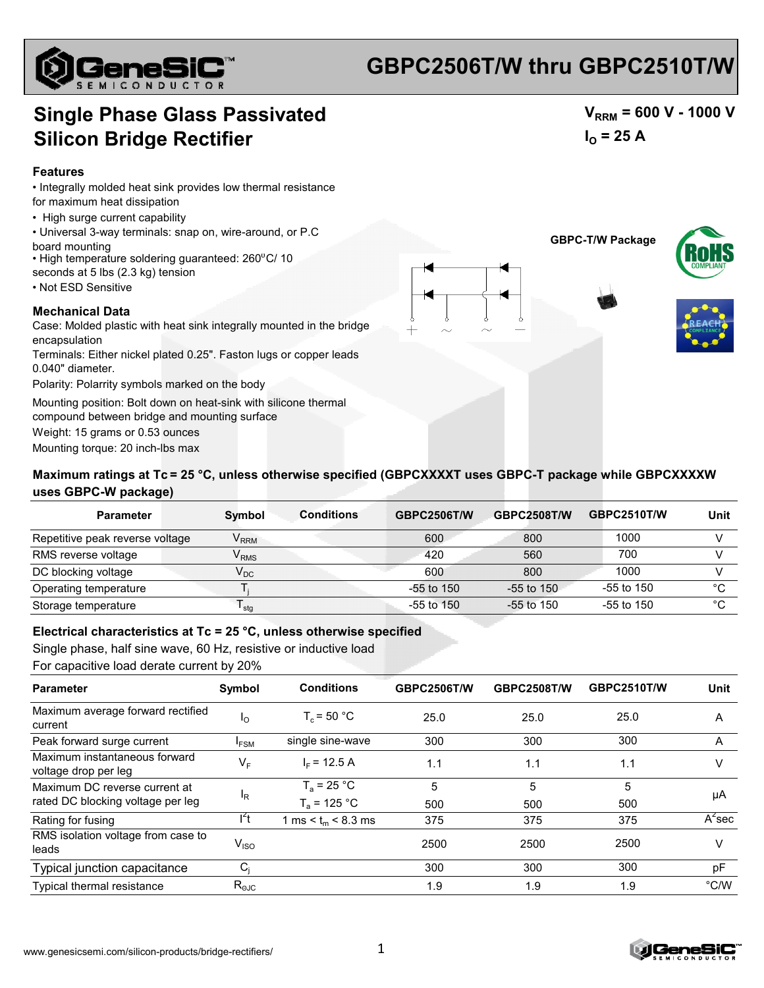

## **GBPC2506T/W thru GBPC2510T/W**

## **Single Phase Glass Passivated Silicon Bridge Rectifier**

#### **Features**

- Integrally molded heat sink provides low thermal resistance
- for maximum heat dissipation
- High surge current capability
- Universal 3-way terminals: snap on, wire-around, or P.C board mounting
- High temperature soldering guaranteed: 260°C/ 10
- seconds at 5 lbs (2.3 kg) tension
- Not ESD Sensitive

#### **Mechanical Data**

Case: Molded plastic with heat sink integrally mounted in the bridge encapsulation

- Terminals: Either nickel plated 0.25". Faston lugs or copper leads 0.040" diameter.
- Polarity: Polarrity symbols marked on the body

Mounting position: Bolt down on heat-sink with silicone thermal

compound between bridge and mounting surface

Weight: 15 grams or 0.53 ounces

Mounting torque: 20 inch-lbs max





 $V_{RRM}$  = 600 V - 1000 V

 $I_{\Omega}$  = 25 A



### **Maximum ratings at Tc = 25 °C, unless otherwise specified (GBPCXXXXT uses GBPC-T package while GBPCXXXXW uses GBPC-W package) uses GBPC-W**

| <b>Parameter</b>                | <b>Conditions</b><br><b>Symbol</b> | <b>GBPC2506T/W</b> | <b>GBPC2508T/W</b> | <b>GBPC2510T/W</b> | Unit    |
|---------------------------------|------------------------------------|--------------------|--------------------|--------------------|---------|
| Repetitive peak reverse voltage | $\mathsf{V}_{\mathsf{RRM}}$        | 600                | 800                | 1000               |         |
| RMS reverse voltage             | $\mathsf{V}_{\mathsf{RMS}}$        | 420                | 560                | 700                |         |
| DC blocking voltage             | $\mathsf{V}_{\mathsf{DC}}$         | 600                | 800                | 1000               |         |
| Operating temperature           |                                    | -55 to 150         | $-55$ to 150       | $-55$ to 150       | $\circ$ |
| Storage temperature             | <sup>I</sup> stq                   | $-55$ to $150$     | $-55$ to 150       | -55 to 150         | $\sim$  |

### **Electrical characteristics at Tc = 25 °C, unless otherwise specified**

Single phase, half sine wave, 60 Hz, resistive or inductive load For capacitive load derate current by 20%

| <b>Parameter</b>                                      | Symbol                      | <b>Conditions</b>           | <b>GBPC2506T/W</b> | <b>GBPC2508T/W</b> | <b>GBPC2510T/W</b> | Unit          |
|-------------------------------------------------------|-----------------------------|-----------------------------|--------------------|--------------------|--------------------|---------------|
| Maximum average forward rectified<br>current          | $I_{\rm O}$                 | $T_c = 50 °C$               | 25.0               | 25.0               | 25.0               | A             |
| Peak forward surge current                            | I <sub>FSM</sub>            | single sine-wave            | 300                | 300                | 300                | A             |
| Maximum instantaneous forward<br>voltage drop per leg | $V_F$                       | $IE$ = 12.5 A               | 1.1                | 1.1                | 1.1                |               |
| Maximum DC reverse current at                         | <sup>I</sup> R              | $T_a = 25 °C$               | 5                  | 5                  | 5                  | μA            |
| rated DC blocking voltage per leg                     |                             | $T_a$ = 125 °C              | 500                | 500                | 500                |               |
| Rating for fusing                                     | $I^2t$                      | 1 ms $\le t_m$ $\le$ 8.3 ms | 375                | 375                | 375                | $A^2$ sec     |
| RMS isolation voltage from case to<br>leads           | $\mathsf{V}_{\mathsf{ISO}}$ |                             | 2500               | 2500               | 2500               | V             |
| Typical junction capacitance                          | $C_i$                       |                             | 300                | 300                | 300                | pF            |
| <b>Typical thermal resistance</b>                     | $R_{\text{OJC}}$            |                             | 1.9                | 1.9                | 1.9                | $\degree$ C/W |



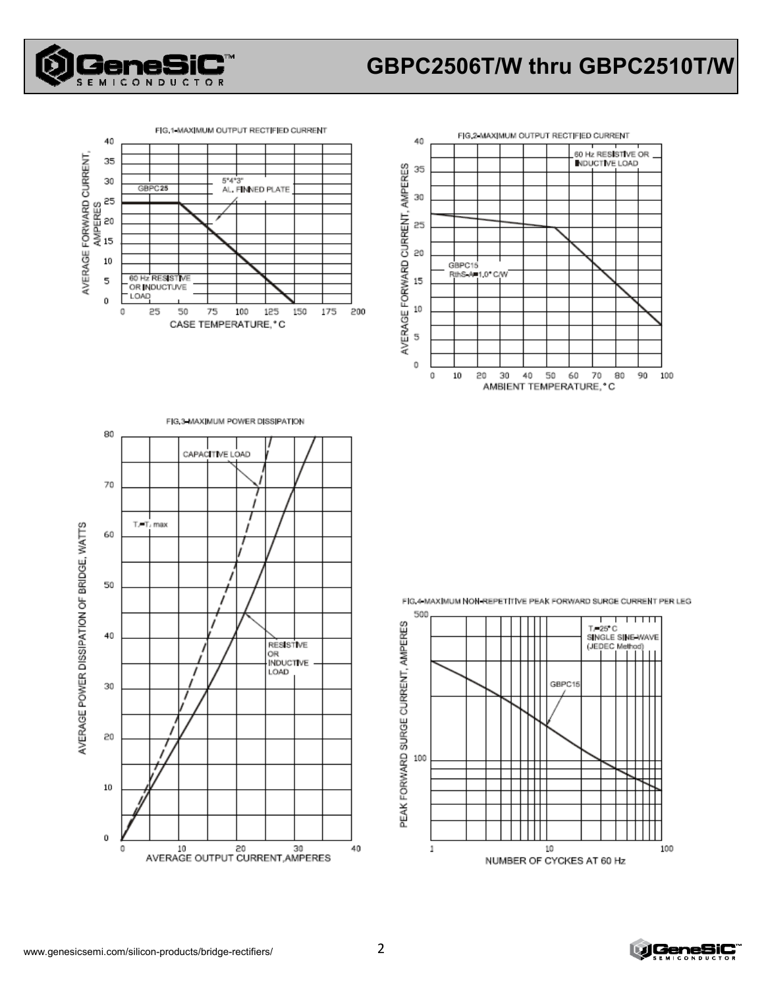

## **GBPC2506T/W thru GBPC2510T/W**



FIG.3-MAXIMUM POWER DISSIPATION



80 CAPACITIVE LOAD 70 AVERAGE POWER DISSIPATION OF BRIDGE, WATTS T.-T. max 60 J 50 40 **RESISTIVE** OR **INDUCTIVE** I LOAD 30 20  $10\,$ 

10 20 30<br>AVERAGE OUTPUT CURRENT, AMPERES

FIG 4 MAXIMUM NON-REPETITIVE PEAK FORWARD SURGE CURRENT PER LEG



0

0

40

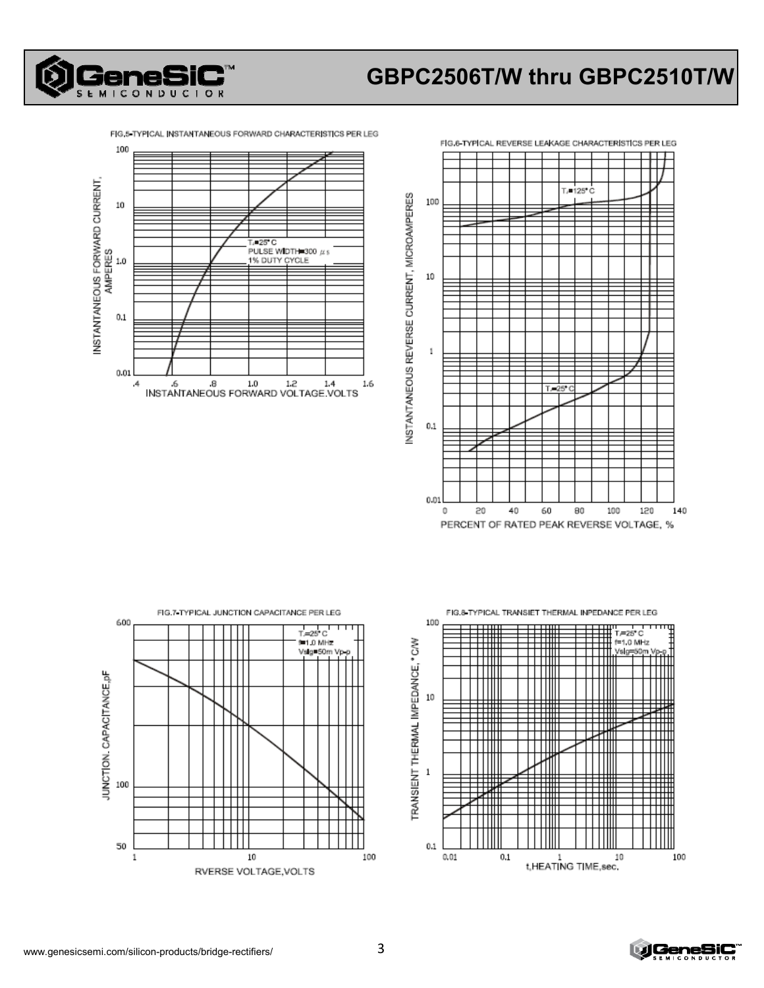

# **GBPC2506T/W thru GBPC2510T/W**

FIG.5 TYPICAL INSTANTANEOUS FORWARD CHARACTERISTICS PER LEG







FIG.8 TYPICAL TRANSIET THERMAL INPEDANCE PER LEG